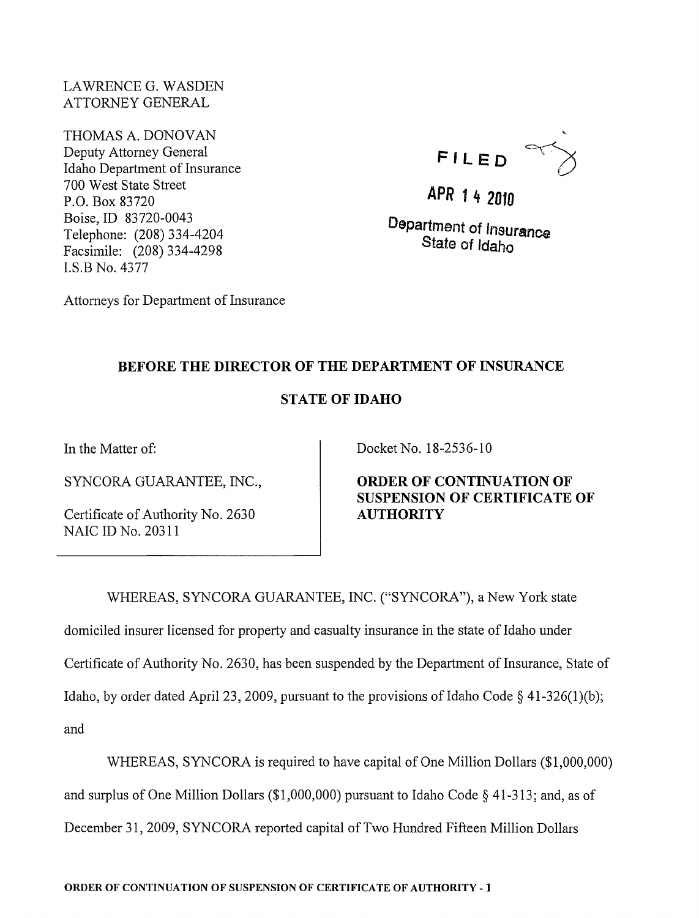LAWRENCE G. WASDEN ATTORNEY GENERAL

THOMAS A. DONOVAN Deputy Attorney General Idaho Department of Insurance 700 West State Street P.O. Box 83720 Boise, ID 83720-0043 Telephone: (208) 334-4204 Facsimile: (208) 334-4298 I.S.B No. 4377



APR 1 4 <sup>2010</sup>

Department of Insurance State of Idaho

Attorneys for Department of Insurance

## BEFORE THE DIRECTOR OF THE DEPARTMENT OF INSURANCE

## STATE OF IDAHO

In the Matter of:

SYNCORA GUARANTEE, INC.,

Certificate of Authority No. 2630 NAIC ID No. 20311

Docket No. 18-2536-10

ORDER OF CONTINUATION OF SUSPENSION OF CERTIFICATE OF AUTHORITY

WHEREAS, SYNCORA GUARANTEE, INC. ("SYNCORA"), a New York state domiciled insurer licensed for property and casualty insurance in the state of Idaho under

Certificate of Authority No. 2630, has been suspended by the Department of Insurance, State of Idaho, by order dated April 23, 2009, pursuant to the provisions of Idaho Code  $\S$  41-326(1)(b);

and

WHEREAS, SYNCORA is required to have capital of One Million Dollars (\$1,000,000) and surplus of One Million Dollars (\$1,000,000) pursuant to Idaho Code § 41-313; and, as of December 31,2009, SYNCORA reported capital of Two Hundred Fifteen Million Dollars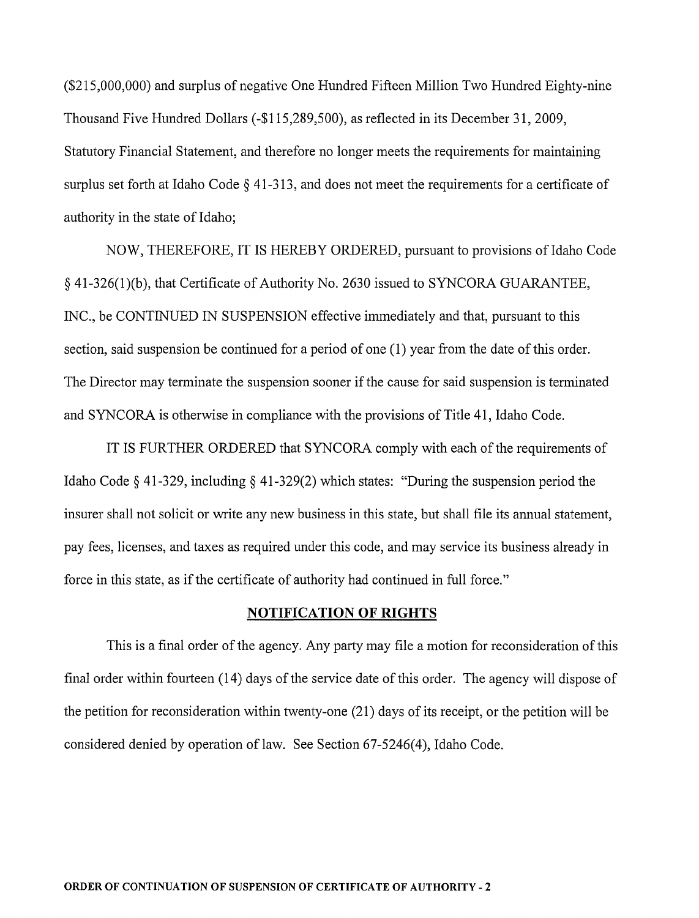(\$215,000,000) and surplus of negative One Hundred Fifteen Million Two Hundred Eighty-nine Thousand Five Hundred Dollars (-\$115,289,500), as reflected in its December 31, 2009, Statutory Financial Statement, and therefore no longer meets the requirements for maintaining surplus set forth at Idaho Code  $\S$  41-313, and does not meet the requirements for a certificate of authority in the state of Idaho;

NOW, THEREFORE, IT IS HEREBY ORDERED, pursuant to provisions of Idaho Code § 41-326(1)(b), that Certificate of Authority No. 2630 issued to SYNCORA GUARANTEE, INC., be CONTINUED IN SUSPENSION effective immediately and that, pursuant to this section, said suspension be continued for a period of one (1) year from the date of this order. The Director may terminate the suspension sooner if the cause for said suspension is terminated and SYNCORA is otherwise in compliance with the provisions of Title 41, Idaho Code.

IT IS FURTHER ORDERED that SYNCORA comply with each of the requirements of Idaho Code § 41-329, including § 41-329(2) which states: "During the suspension period the insurer shall not solicit or write any new business in this state, but shall file its annual statement, pay fees, licenses, and taxes as required under this code, and may service its business already in force in this state, as if the certificate of authority had continued in full force."

## **NOTIFICATION OF RIGHTS**

This is a final order of the agency. Any party may file a motion for reconsideration of this final order within fourteen (14) days of the service date of this order. The agency will dispose of the petition for reconsideration within twenty-one (21) days of its receipt, or the petition will be considered denied by operation of law. See Section 67-5246(4), Idaho Code.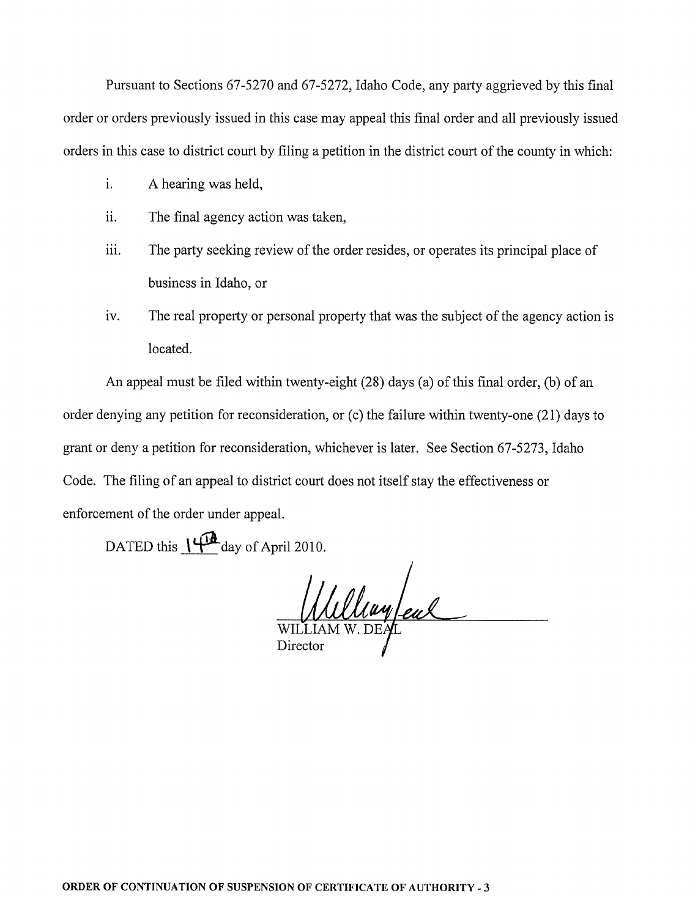Pursuant to Sections 67-5270 and 67-5272, Idaho Code, any party aggrieved by this final order or orders previously issued in this case may appeal this final order and all previously issued orders in this case to district court by filing a petition in the district court of the county in which:

- i. A hearing was held,
- ii. The final agency action was taken,
- iii. The party seeking review of the order resides, or operates its principal place of business in Idaho, or
- iv. The real property or personal property that was the subject of the agency action is located.

An appeal must be filed within twenty-eight (28) days (a) of this final order, (b) of an order denying any petition for reconsideration, or (c) the failure within twenty-one (21) days to grant or deny a petition for reconsideration, whichever is later. See Section 67-5273, Idaho Code. The filing of an appeal to district court does not itself stay the effectiveness or enforcement of the order under appeal.

DATED this  $\frac{1}{4}$  day of April 2010.

Wulliam eal